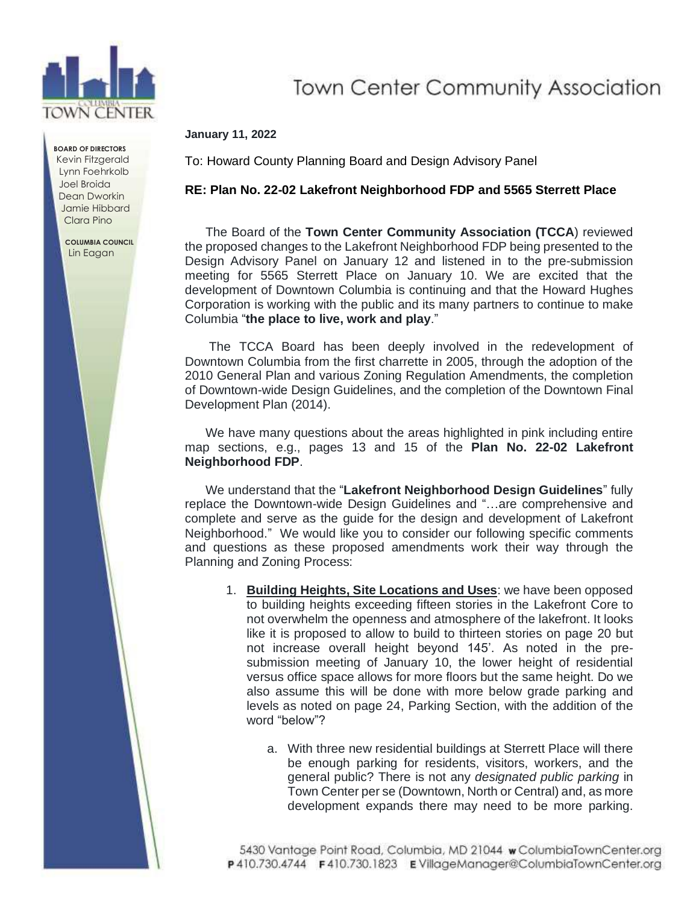

**BOARD OF DIRECTORS** Kevin Fitzgerald Lynn Foehrkolb Joel Broida Dean Dworkin Jamie Hibbard Clara Pino

> **COLUMBIA COUNCIL** Lin Eagan

## **Town Center Community Association**

## **January 11, 2022**

To: Howard County Planning Board and Design Advisory Panel

## **RE: Plan No. 22-02 Lakefront Neighborhood FDP and 5565 Sterrett Place**

The Board of the **Town Center Community Association (TCCA**) reviewed the proposed changes to the Lakefront Neighborhood FDP being presented to the Design Advisory Panel on January 12 and listened in to the pre-submission meeting for 5565 Sterrett Place on January 10. We are excited that the development of Downtown Columbia is continuing and that the Howard Hughes Corporation is working with the public and its many partners to continue to make Columbia "**the place to live, work and play**."

The TCCA Board has been deeply involved in the redevelopment of Downtown Columbia from the first charrette in 2005, through the adoption of the 2010 General Plan and various Zoning Regulation Amendments, the completion of Downtown-wide Design Guidelines, and the completion of the Downtown Final Development Plan (2014).

We have many questions about the areas highlighted in pink including entire map sections, e.g., pages 13 and 15 of the **Plan No. 22-02 Lakefront Neighborhood FDP**.

We understand that the "**Lakefront Neighborhood Design Guidelines**" fully replace the Downtown-wide Design Guidelines and "…are comprehensive and complete and serve as the guide for the design and development of Lakefront Neighborhood." We would like you to consider our following specific comments and questions as these proposed amendments work their way through the Planning and Zoning Process:

- 1. **Building Heights, Site Locations and Uses**: we have been opposed to building heights exceeding fifteen stories in the Lakefront Core to not overwhelm the openness and atmosphere of the lakefront. It looks like it is proposed to allow to build to thirteen stories on page 20 but not increase overall height beyond 145'. As noted in the presubmission meeting of January 10, the lower height of residential versus office space allows for more floors but the same height. Do we also assume this will be done with more below grade parking and levels as noted on page 24, Parking Section, with the addition of the word "below"?
	- a. With three new residential buildings at Sterrett Place will there be enough parking for residents, visitors, workers, and the general public? There is not any *designated public parking* in Town Center per se (Downtown, North or Central) and, as more development expands there may need to be more parking.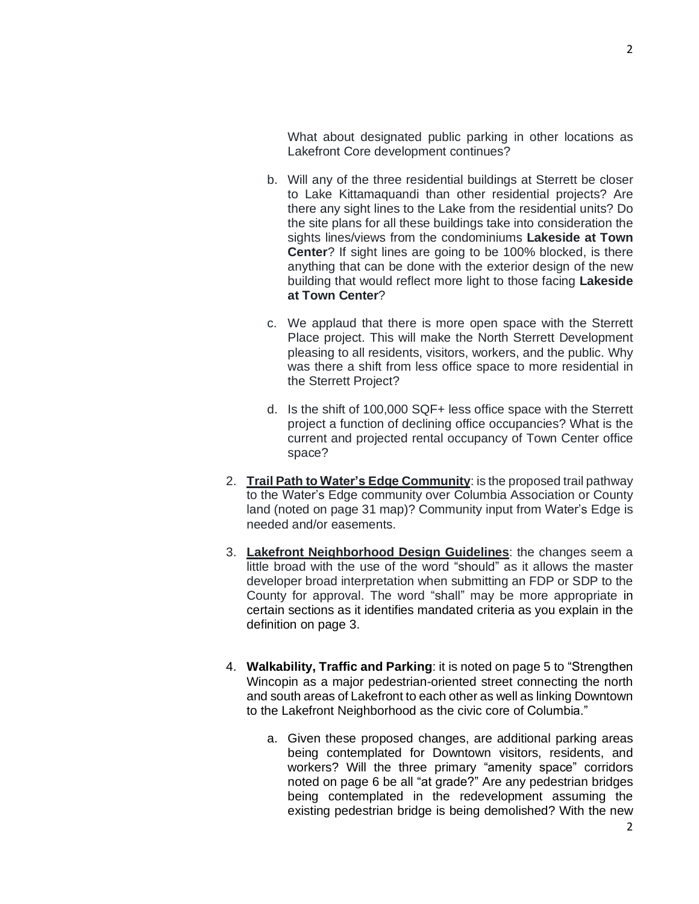What about designated public parking in other locations as Lakefront Core development continues?

- b. Will any of the three residential buildings at Sterrett be closer to Lake Kittamaquandi than other residential projects? Are there any sight lines to the Lake from the residential units? Do the site plans for all these buildings take into consideration the sights lines/views from the condominiums **Lakeside at Town Center**? If sight lines are going to be 100% blocked, is there anything that can be done with the exterior design of the new building that would reflect more light to those facing **Lakeside at Town Center**?
- c. We applaud that there is more open space with the Sterrett Place project. This will make the North Sterrett Development pleasing to all residents, visitors, workers, and the public. Why was there a shift from less office space to more residential in the Sterrett Project?
- d. Is the shift of 100,000 SQF+ less office space with the Sterrett project a function of declining office occupancies? What is the current and projected rental occupancy of Town Center office space?
- 2. **Trail Path to Water's Edge Community**: is the proposed trail pathway to the Water's Edge community over Columbia Association or County land (noted on page 31 map)? Community input from Water's Edge is needed and/or easements.
- 3. **Lakefront Neighborhood Design Guidelines**: the changes seem a little broad with the use of the word "should" as it allows the master developer broad interpretation when submitting an FDP or SDP to the County for approval. The word "shall" may be more appropriate in certain sections as it identifies mandated criteria as you explain in the definition on page 3.
- 4. **Walkability, Traffic and Parking**: it is noted on page 5 to "Strengthen Wincopin as a major pedestrian-oriented street connecting the north and south areas of Lakefront to each other as well as linking Downtown to the Lakefront Neighborhood as the civic core of Columbia."
	- a. Given these proposed changes, are additional parking areas being contemplated for Downtown visitors, residents, and workers? Will the three primary "amenity space" corridors noted on page 6 be all "at grade?" Are any pedestrian bridges being contemplated in the redevelopment assuming the existing pedestrian bridge is being demolished? With the new